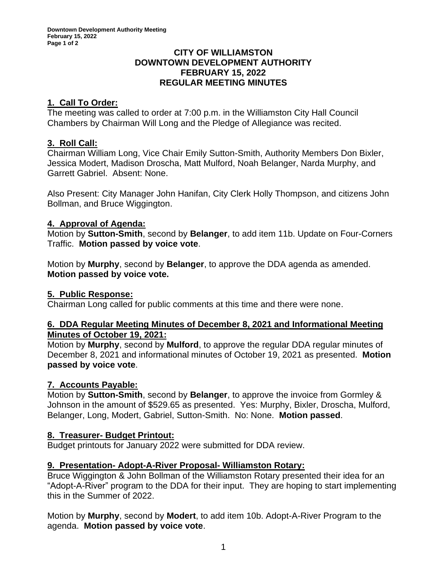### **CITY OF WILLIAMSTON DOWNTOWN DEVELOPMENT AUTHORITY FEBRUARY 15, 2022 REGULAR MEETING MINUTES**

## **1. Call To Order:**

The meeting was called to order at 7:00 p.m. in the Williamston City Hall Council Chambers by Chairman Will Long and the Pledge of Allegiance was recited.

## **3. Roll Call:**

Chairman William Long, Vice Chair Emily Sutton-Smith, Authority Members Don Bixler, Jessica Modert, Madison Droscha, Matt Mulford, Noah Belanger, Narda Murphy, and Garrett Gabriel. Absent: None.

Also Present: City Manager John Hanifan, City Clerk Holly Thompson, and citizens John Bollman, and Bruce Wiggington.

## **4. Approval of Agenda:**

Motion by **Sutton-Smith**, second by **Belanger**, to add item 11b. Update on Four-Corners Traffic. **Motion passed by voice vote**.

Motion by **Murphy**, second by **Belanger**, to approve the DDA agenda as amended. **Motion passed by voice vote.**

## **5. Public Response:**

Chairman Long called for public comments at this time and there were none.

### **6. DDA Regular Meeting Minutes of December 8, 2021 and Informational Meeting Minutes of October 19, 2021:**

Motion by **Murphy**, second by **Mulford**, to approve the regular DDA regular minutes of December 8, 2021 and informational minutes of October 19, 2021 as presented. **Motion passed by voice vote**.

### **7. Accounts Payable:**

Motion by **Sutton-Smith**, second by **Belanger**, to approve the invoice from Gormley & Johnson in the amount of \$529.65 as presented. Yes: Murphy, Bixler, Droscha, Mulford, Belanger, Long, Modert, Gabriel, Sutton-Smith. No: None. **Motion passed**.

# **8. Treasurer- Budget Printout:**

Budget printouts for January 2022 were submitted for DDA review.

### **9. Presentation- Adopt-A-River Proposal- Williamston Rotary:**

Bruce Wiggington & John Bollman of the Williamston Rotary presented their idea for an "Adopt-A-River" program to the DDA for their input. They are hoping to start implementing this in the Summer of 2022.

Motion by **Murphy**, second by **Modert**, to add item 10b. Adopt-A-River Program to the agenda. **Motion passed by voice vote**.